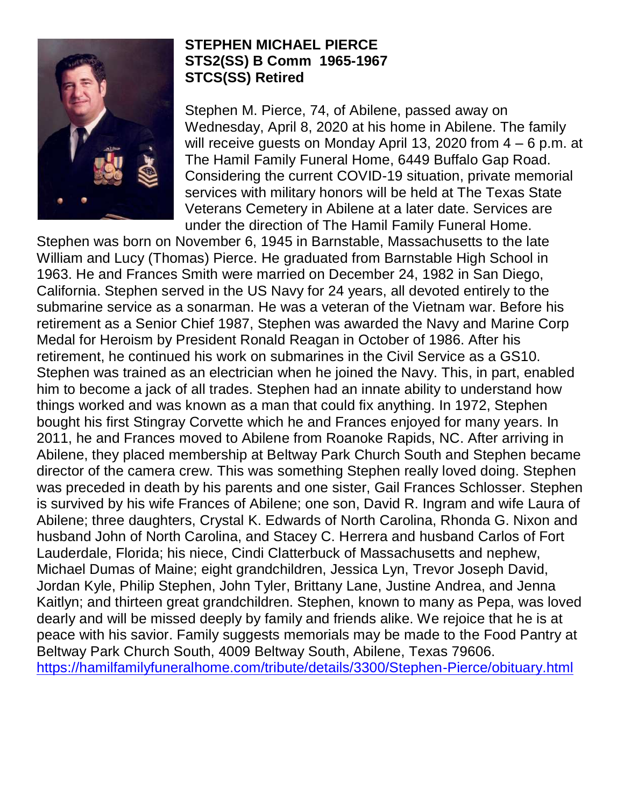

## **STEPHEN MICHAEL PIERCE STS2(SS) B Comm 1965-1967 STCS(SS) Retired**

Stephen M. Pierce, 74, of Abilene, passed away on Wednesday, April 8, 2020 at his home in Abilene. The family will receive guests on Monday April 13, 2020 from 4 – 6 p.m. at The Hamil Family Funeral Home, 6449 Buffalo Gap Road. Considering the current COVID-19 situation, private memorial services with military honors will be held at The Texas State Veterans Cemetery in Abilene at a later date. Services are under the direction of The Hamil Family Funeral Home.

Stephen was born on November 6, 1945 in Barnstable, Massachusetts to the late William and Lucy (Thomas) Pierce. He graduated from Barnstable High School in 1963. He and Frances Smith were married on December 24, 1982 in San Diego, California. Stephen served in the US Navy for 24 years, all devoted entirely to the submarine service as a sonarman. He was a veteran of the Vietnam war. Before his retirement as a Senior Chief 1987, Stephen was awarded the Navy and Marine Corp Medal for Heroism by President Ronald Reagan in October of 1986. After his retirement, he continued his work on submarines in the Civil Service as a GS10. Stephen was trained as an electrician when he joined the Navy. This, in part, enabled him to become a jack of all trades. Stephen had an innate ability to understand how things worked and was known as a man that could fix anything. In 1972, Stephen bought his first Stingray Corvette which he and Frances enjoyed for many years. In 2011, he and Frances moved to Abilene from Roanoke Rapids, NC. After arriving in Abilene, they placed membership at Beltway Park Church South and Stephen became director of the camera crew. This was something Stephen really loved doing. Stephen was preceded in death by his parents and one sister, Gail Frances Schlosser. Stephen is survived by his wife Frances of Abilene; one son, David R. Ingram and wife Laura of Abilene; three daughters, Crystal K. Edwards of North Carolina, Rhonda G. Nixon and husband John of North Carolina, and Stacey C. Herrera and husband Carlos of Fort Lauderdale, Florida; his niece, Cindi Clatterbuck of Massachusetts and nephew, Michael Dumas of Maine; eight grandchildren, Jessica Lyn, Trevor Joseph David, Jordan Kyle, Philip Stephen, John Tyler, Brittany Lane, Justine Andrea, and Jenna Kaitlyn; and thirteen great grandchildren. Stephen, known to many as Pepa, was loved dearly and will be missed deeply by family and friends alike. We rejoice that he is at peace with his savior. Family suggests memorials may be made to the Food Pantry at Beltway Park Church South, 4009 Beltway South, Abilene, Texas 79606. <https://hamilfamilyfuneralhome.com/tribute/details/3300/Stephen-Pierce/obituary.html>